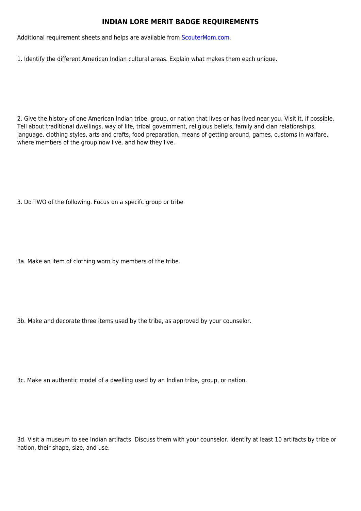## **INDIAN LORE MERIT BADGE REQUIREMENTS**

Additional requirement sheets and helps are available from [ScouterMom.com](http://scoutermom.com).

1. Identify the different American Indian cultural areas. Explain what makes them each unique.

2. Give the history of one American Indian tribe, group, or nation that lives or has lived near you. Visit it, if possible. Tell about traditional dwellings, way of life, tribal government, religious beliefs, family and clan relationships, language, clothing styles, arts and crafts, food preparation, means of getting around, games, customs in warfare, where members of the group now live, and how they live.

3. Do TWO of the following. Focus on a specifc group or tribe

3a. Make an item of clothing worn by members of the tribe.

3b. Make and decorate three items used by the tribe, as approved by your counselor.

3c. Make an authentic model of a dwelling used by an Indian tribe, group, or nation.

3d. Visit a museum to see Indian artifacts. Discuss them with your counselor. Identify at least 10 artifacts by tribe or nation, their shape, size, and use.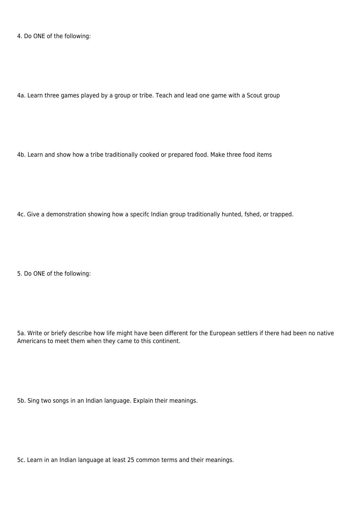4. Do ONE of the following:

4a. Learn three games played by a group or tribe. Teach and lead one game with a Scout group

4b. Learn and show how a tribe traditionally cooked or prepared food. Make three food items

4c. Give a demonstration showing how a specifc Indian group traditionally hunted, fshed, or trapped.

5. Do ONE of the following:

5a. Write or briefy describe how life might have been different for the European settlers if there had been no native Americans to meet them when they came to this continent.

5b. Sing two songs in an Indian language. Explain their meanings.

5c. Learn in an Indian language at least 25 common terms and their meanings.